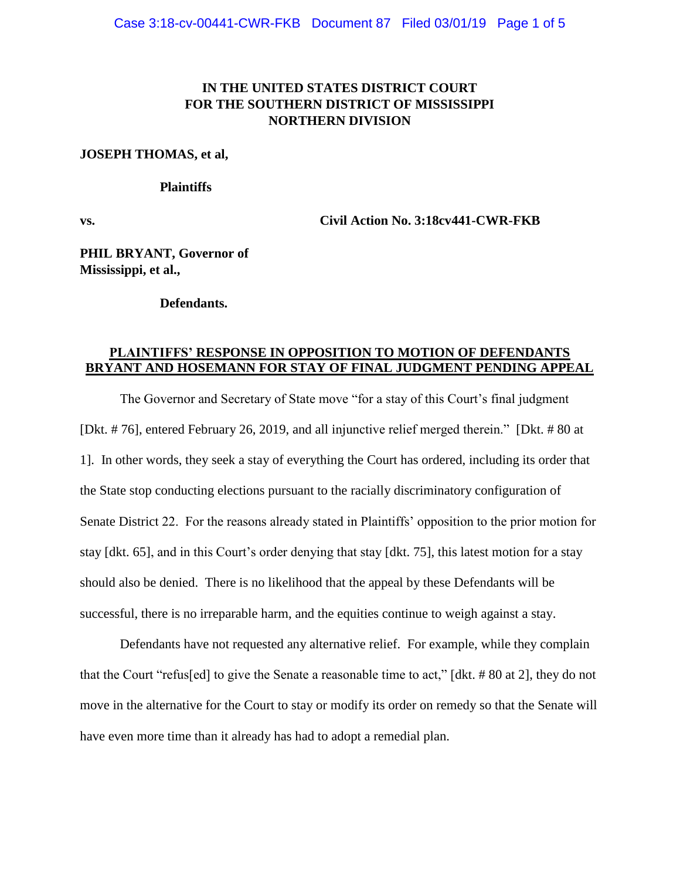# **IN THE UNITED STATES DISTRICT COURT FOR THE SOUTHERN DISTRICT OF MISSISSIPPI NORTHERN DIVISION**

### **JOSEPH THOMAS, et al,**

### **Plaintiffs**

**vs. Civil Action No. 3:18cv441-CWR-FKB**

**PHIL BRYANT, Governor of Mississippi, et al.,**

### **Defendants.**

### **PLAINTIFFS' RESPONSE IN OPPOSITION TO MOTION OF DEFENDANTS BRYANT AND HOSEMANN FOR STAY OF FINAL JUDGMENT PENDING APPEAL**

The Governor and Secretary of State move "for a stay of this Court's final judgment [Dkt. # 76], entered February 26, 2019, and all injunctive relief merged therein." [Dkt. # 80 at 1]. In other words, they seek a stay of everything the Court has ordered, including its order that the State stop conducting elections pursuant to the racially discriminatory configuration of Senate District 22. For the reasons already stated in Plaintiffs' opposition to the prior motion for stay [dkt. 65], and in this Court's order denying that stay [dkt. 75], this latest motion for a stay should also be denied. There is no likelihood that the appeal by these Defendants will be successful, there is no irreparable harm, and the equities continue to weigh against a stay.

Defendants have not requested any alternative relief. For example, while they complain that the Court "refus[ed] to give the Senate a reasonable time to act," [dkt. # 80 at 2], they do not move in the alternative for the Court to stay or modify its order on remedy so that the Senate will have even more time than it already has had to adopt a remedial plan.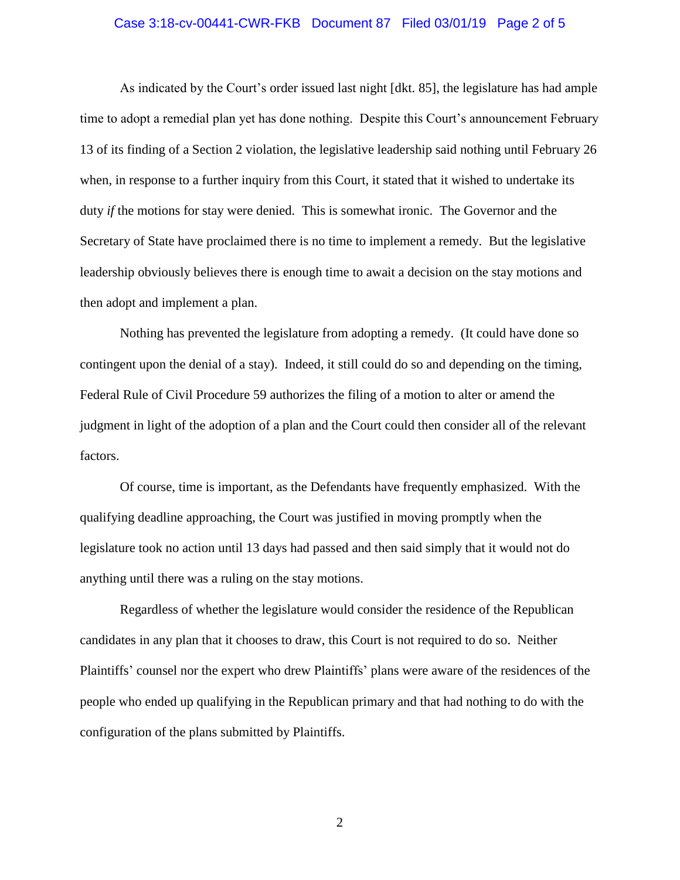### Case 3:18-cv-00441-CWR-FKB Document 87 Filed 03/01/19 Page 2 of 5

As indicated by the Court's order issued last night [dkt. 85], the legislature has had ample time to adopt a remedial plan yet has done nothing. Despite this Court's announcement February 13 of its finding of a Section 2 violation, the legislative leadership said nothing until February 26 when, in response to a further inquiry from this Court, it stated that it wished to undertake its duty *if* the motions for stay were denied. This is somewhat ironic. The Governor and the Secretary of State have proclaimed there is no time to implement a remedy. But the legislative leadership obviously believes there is enough time to await a decision on the stay motions and then adopt and implement a plan.

Nothing has prevented the legislature from adopting a remedy. (It could have done so contingent upon the denial of a stay). Indeed, it still could do so and depending on the timing, Federal Rule of Civil Procedure 59 authorizes the filing of a motion to alter or amend the judgment in light of the adoption of a plan and the Court could then consider all of the relevant factors.

Of course, time is important, as the Defendants have frequently emphasized. With the qualifying deadline approaching, the Court was justified in moving promptly when the legislature took no action until 13 days had passed and then said simply that it would not do anything until there was a ruling on the stay motions.

Regardless of whether the legislature would consider the residence of the Republican candidates in any plan that it chooses to draw, this Court is not required to do so. Neither Plaintiffs' counsel nor the expert who drew Plaintiffs' plans were aware of the residences of the people who ended up qualifying in the Republican primary and that had nothing to do with the configuration of the plans submitted by Plaintiffs.

2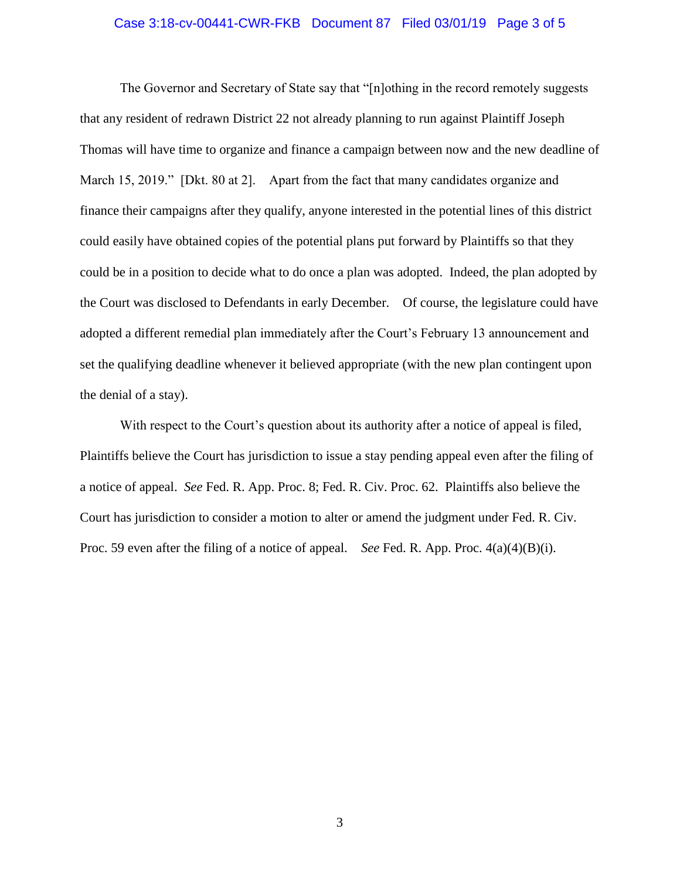### Case 3:18-cv-00441-CWR-FKB Document 87 Filed 03/01/19 Page 3 of 5

The Governor and Secretary of State say that "[n]othing in the record remotely suggests that any resident of redrawn District 22 not already planning to run against Plaintiff Joseph Thomas will have time to organize and finance a campaign between now and the new deadline of March 15, 2019." [Dkt. 80 at 2]. Apart from the fact that many candidates organize and finance their campaigns after they qualify, anyone interested in the potential lines of this district could easily have obtained copies of the potential plans put forward by Plaintiffs so that they could be in a position to decide what to do once a plan was adopted. Indeed, the plan adopted by the Court was disclosed to Defendants in early December. Of course, the legislature could have adopted a different remedial plan immediately after the Court's February 13 announcement and set the qualifying deadline whenever it believed appropriate (with the new plan contingent upon the denial of a stay).

With respect to the Court's question about its authority after a notice of appeal is filed, Plaintiffs believe the Court has jurisdiction to issue a stay pending appeal even after the filing of a notice of appeal. *See* Fed. R. App. Proc. 8; Fed. R. Civ. Proc. 62. Plaintiffs also believe the Court has jurisdiction to consider a motion to alter or amend the judgment under Fed. R. Civ. Proc. 59 even after the filing of a notice of appeal. *See* Fed. R. App. Proc. 4(a)(4)(B)(i).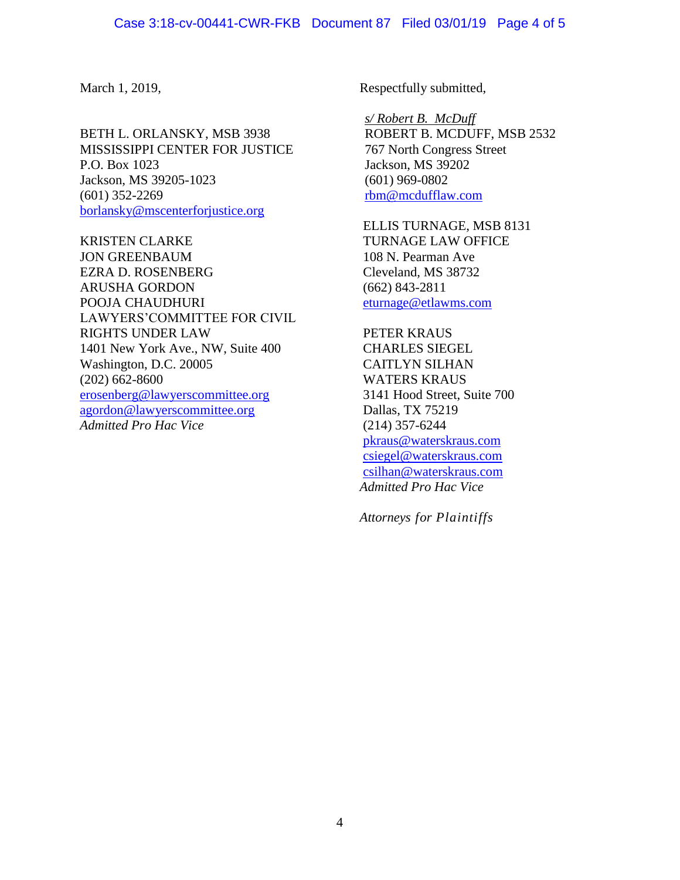BETH L. ORLANSKY, MSB 3938 MISSISSIPPI CENTER FOR JUSTICE P.O. Box 1023 Jackson, MS 39205-1023 (601) 352-2269 [borlansky@mscenterforjustice.org](mailto:borlansky@mscenterforjustice.org)

KRISTEN CLARKE JON GREENBAUM EZRA D. ROSENBERG ARUSHA GORDON POOJA CHAUDHURI LAWYERS'COMMITTEE FOR CIVIL RIGHTS UNDER LAW 1401 New York Ave., NW, Suite 400 Washington, D.C. 20005 (202) 662-8600 [erosenberg@lawyerscommittee.org](mailto:erosenberg@lawyerscommittee.org) [agordon@lawyerscommittee.org](mailto:agordon@lawyerscommittee.org) *Admitted Pro Hac Vice*

March 1, 2019, Respectfully submitted,

*s/ Robert B. McDuff* ROBERT B. MCDUFF, MSB 2532 767 North Congress Street Jackson, MS 39202 (601) 969-0802 [rbm@mcdufflaw.com](mailto:rbm@mcdufflaw.com)

ELLIS TURNAGE, MSB 8131 TURNAGE LAW OFFICE 108 N. Pearman Ave Cleveland, MS 38732 (662) 843-2811 [eturnage@etlawms.com](mailto:eturnage@etlawms.com)

PETER KRAUS CHARLES SIEGEL CAITLYN SILHAN WATERS KRAUS 3141 Hood Street, Suite 700 Dallas, TX 75219 (214) 357-6244 [pkraus@waterskraus.com](mailto:pkraus@waterskraus.com) [csiegel@waterskraus.com](mailto:csiegel@waterskraus.com) [csilhan@waterskraus.com](mailto:csilhan@waterskraus.com) *Admitted Pro Hac Vice*

*Attorneys for Plaintiffs*